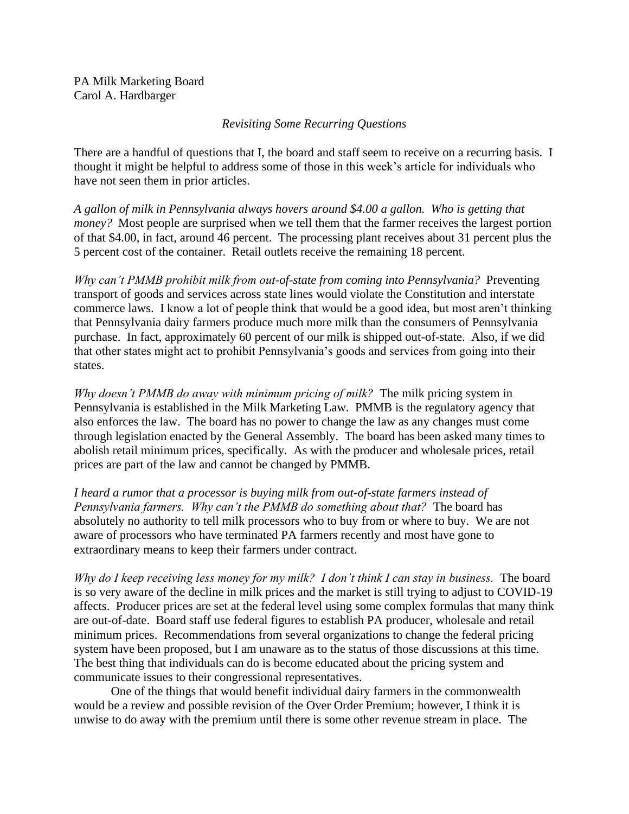PA Milk Marketing Board Carol A. Hardbarger

## *Revisiting Some Recurring Questions*

There are a handful of questions that I, the board and staff seem to receive on a recurring basis. I thought it might be helpful to address some of those in this week's article for individuals who have not seen them in prior articles.

*A gallon of milk in Pennsylvania always hovers around \$4.00 a gallon. Who is getting that money?* Most people are surprised when we tell them that the farmer receives the largest portion of that \$4.00, in fact, around 46 percent. The processing plant receives about 31 percent plus the 5 percent cost of the container. Retail outlets receive the remaining 18 percent.

*Why can't PMMB prohibit milk from out-of-state from coming into Pennsylvania?* Preventing transport of goods and services across state lines would violate the Constitution and interstate commerce laws. I know a lot of people think that would be a good idea, but most aren't thinking that Pennsylvania dairy farmers produce much more milk than the consumers of Pennsylvania purchase. In fact, approximately 60 percent of our milk is shipped out-of-state. Also, if we did that other states might act to prohibit Pennsylvania's goods and services from going into their states.

*Why doesn't PMMB do away with minimum pricing of milk?* The milk pricing system in Pennsylvania is established in the Milk Marketing Law. PMMB is the regulatory agency that also enforces the law. The board has no power to change the law as any changes must come through legislation enacted by the General Assembly. The board has been asked many times to abolish retail minimum prices, specifically. As with the producer and wholesale prices, retail prices are part of the law and cannot be changed by PMMB.

*I heard a rumor that a processor is buying milk from out-of-state farmers instead of Pennsylvania farmers. Why can't the PMMB do something about that?* The board has absolutely no authority to tell milk processors who to buy from or where to buy. We are not aware of processors who have terminated PA farmers recently and most have gone to extraordinary means to keep their farmers under contract.

*Why do I keep receiving less money for my milk? I don't think I can stay in business.* The board is so very aware of the decline in milk prices and the market is still trying to adjust to COVID-19 affects. Producer prices are set at the federal level using some complex formulas that many think are out-of-date. Board staff use federal figures to establish PA producer, wholesale and retail minimum prices. Recommendations from several organizations to change the federal pricing system have been proposed, but I am unaware as to the status of those discussions at this time. The best thing that individuals can do is become educated about the pricing system and communicate issues to their congressional representatives.

One of the things that would benefit individual dairy farmers in the commonwealth would be a review and possible revision of the Over Order Premium; however, I think it is unwise to do away with the premium until there is some other revenue stream in place. The